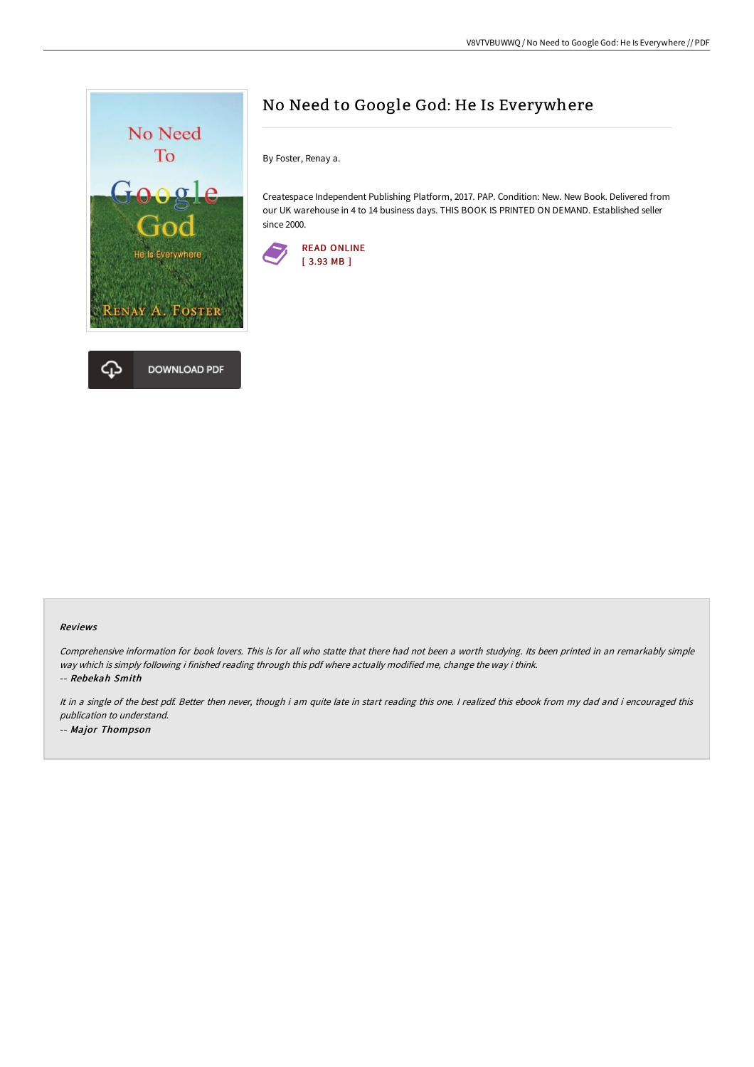

# No Need to Google God: He Is Everywhere

By Foster, Renay a.

Createspace Independent Publishing Platform, 2017. PAP. Condition: New. New Book. Delivered from our UK warehouse in 4 to 14 business days. THIS BOOK IS PRINTED ON DEMAND. Established seller since 2000.



#### Reviews

Comprehensive information for book lovers. This is for all who statte that there had not been <sup>a</sup> worth studying. Its been printed in an remarkably simple way which is simply following i finished reading through this pdf where actually modified me, change the way i think. -- Rebekah Smith

It in a single of the best pdf. Better then never, though i am quite late in start reading this one. I realized this ebook from my dad and i encouraged this publication to understand. -- Major Thompson